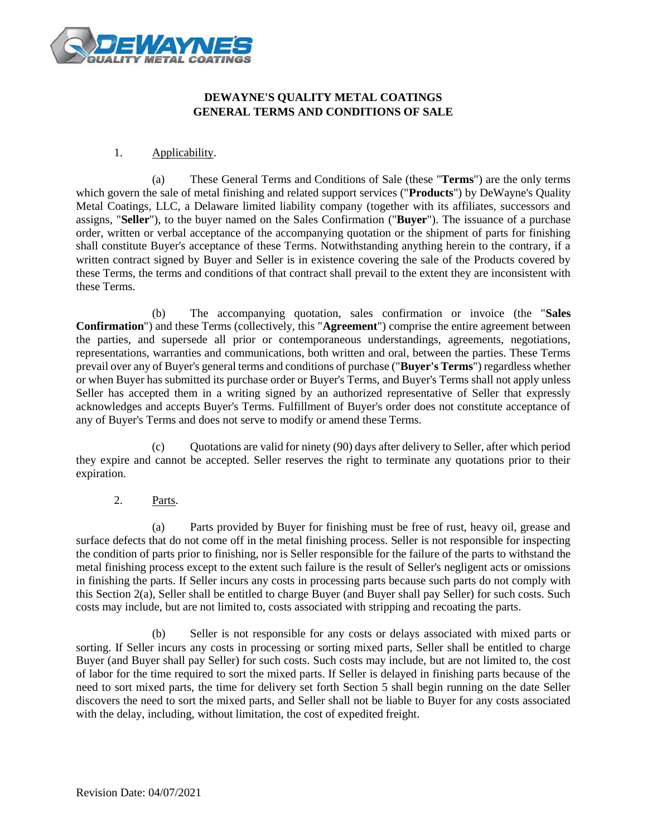

# **DEWAYNE'S QUALITY METAL COATINGS GENERAL TERMS AND CONDITIONS OF SALE**

### 1. Applicability.

(a) These General Terms and Conditions of Sale (these "**Terms**") are the only terms which govern the sale of metal finishing and related support services ("**Products**") by DeWayne's Quality Metal Coatings, LLC, a Delaware limited liability company (together with its affiliates, successors and assigns, "**Seller**"), to the buyer named on the Sales Confirmation ("**Buyer**"). The issuance of a purchase order, written or verbal acceptance of the accompanying quotation or the shipment of parts for finishing shall constitute Buyer's acceptance of these Terms. Notwithstanding anything herein to the contrary, if a written contract signed by Buyer and Seller is in existence covering the sale of the Products covered by these Terms, the terms and conditions of that contract shall prevail to the extent they are inconsistent with these Terms.

(b) The accompanying quotation, sales confirmation or invoice (the "**Sales Confirmation**") and these Terms (collectively, this "**Agreement**") comprise the entire agreement between the parties, and supersede all prior or contemporaneous understandings, agreements, negotiations, representations, warranties and communications, both written and oral, between the parties. These Terms prevail over any of Buyer's general terms and conditions of purchase ("**Buyer's Terms**") regardless whether or when Buyer has submitted its purchase order or Buyer's Terms, and Buyer's Terms shall not apply unless Seller has accepted them in a writing signed by an authorized representative of Seller that expressly acknowledges and accepts Buyer's Terms. Fulfillment of Buyer's order does not constitute acceptance of any of Buyer's Terms and does not serve to modify or amend these Terms.

(c) Quotations are valid for ninety (90) days after delivery to Seller, after which period they expire and cannot be accepted. Seller reserves the right to terminate any quotations prior to their expiration.

2. Parts.

(a) Parts provided by Buyer for finishing must be free of rust, heavy oil, grease and surface defects that do not come off in the metal finishing process. Seller is not responsible for inspecting the condition of parts prior to finishing, nor is Seller responsible for the failure of the parts to withstand the metal finishing process except to the extent such failure is the result of Seller's negligent acts or omissions in finishing the parts. If Seller incurs any costs in processing parts because such parts do not comply with this Section 2(a), Seller shall be entitled to charge Buyer (and Buyer shall pay Seller) for such costs. Such costs may include, but are not limited to, costs associated with stripping and recoating the parts.

(b) Seller is not responsible for any costs or delays associated with mixed parts or sorting. If Seller incurs any costs in processing or sorting mixed parts, Seller shall be entitled to charge Buyer (and Buyer shall pay Seller) for such costs. Such costs may include, but are not limited to, the cost of labor for the time required to sort the mixed parts. If Seller is delayed in finishing parts because of the need to sort mixed parts, the time for delivery set forth Section 5 shall begin running on the date Seller discovers the need to sort the mixed parts, and Seller shall not be liable to Buyer for any costs associated with the delay, including, without limitation, the cost of expedited freight.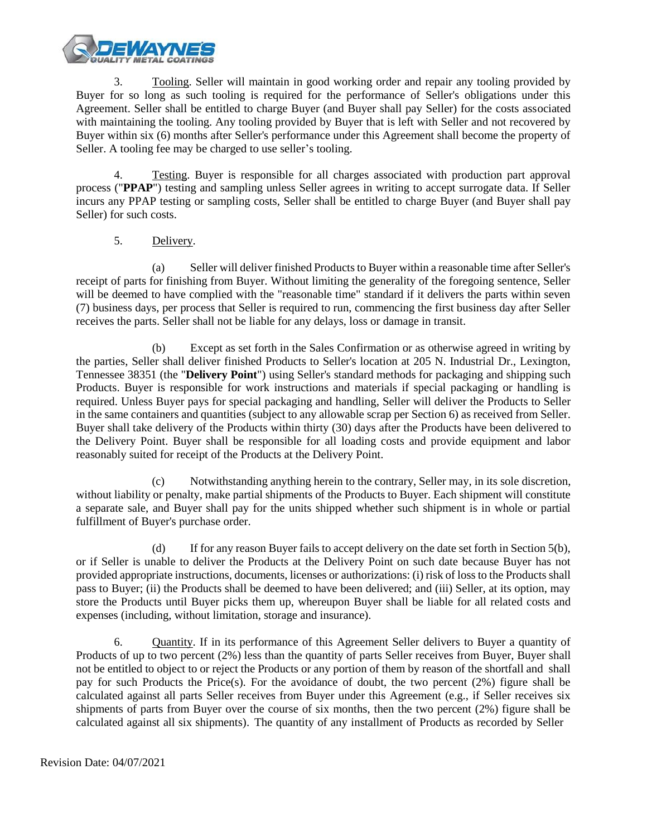

3. Tooling. Seller will maintain in good working order and repair any tooling provided by Buyer for so long as such tooling is required for the performance of Seller's obligations under this Agreement. Seller shall be entitled to charge Buyer (and Buyer shall pay Seller) for the costs associated with maintaining the tooling. Any tooling provided by Buyer that is left with Seller and not recovered by Buyer within six (6) months after Seller's performance under this Agreement shall become the property of Seller. A tooling fee may be charged to use seller's tooling.

4. Testing. Buyer is responsible for all charges associated with production part approval process ("**PPAP**") testing and sampling unless Seller agrees in writing to accept surrogate data. If Seller incurs any PPAP testing or sampling costs, Seller shall be entitled to charge Buyer (and Buyer shall pay Seller) for such costs.

# 5. Delivery.

(a) Seller will deliver finished Products to Buyer within a reasonable time after Seller's receipt of parts for finishing from Buyer. Without limiting the generality of the foregoing sentence, Seller will be deemed to have complied with the "reasonable time" standard if it delivers the parts within seven (7) business days, per process that Seller is required to run, commencing the first business day after Seller receives the parts. Seller shall not be liable for any delays, loss or damage in transit.

(b) Except as set forth in the Sales Confirmation or as otherwise agreed in writing by the parties, Seller shall deliver finished Products to Seller's location at 205 N. Industrial Dr., Lexington, Tennessee 38351 (the "**Delivery Point**") using Seller's standard methods for packaging and shipping such Products. Buyer is responsible for work instructions and materials if special packaging or handling is required. Unless Buyer pays for special packaging and handling, Seller will deliver the Products to Seller in the same containers and quantities (subject to any allowable scrap per Section 6) as received from Seller. Buyer shall take delivery of the Products within thirty (30) days after the Products have been delivered to the Delivery Point. Buyer shall be responsible for all loading costs and provide equipment and labor reasonably suited for receipt of the Products at the Delivery Point.

(c) Notwithstanding anything herein to the contrary, Seller may, in its sole discretion, without liability or penalty, make partial shipments of the Products to Buyer. Each shipment will constitute a separate sale, and Buyer shall pay for the units shipped whether such shipment is in whole or partial fulfillment of Buyer's purchase order.

(d) If for any reason Buyer fails to accept delivery on the date set forth in Section 5(b), or if Seller is unable to deliver the Products at the Delivery Point on such date because Buyer has not provided appropriate instructions, documents, licenses or authorizations: (i) risk of loss to the Products shall pass to Buyer; (ii) the Products shall be deemed to have been delivered; and (iii) Seller, at its option, may store the Products until Buyer picks them up, whereupon Buyer shall be liable for all related costs and expenses (including, without limitation, storage and insurance).

6. Quantity. If in its performance of this Agreement Seller delivers to Buyer a quantity of Products of up to two percent (2%) less than the quantity of parts Seller receives from Buyer, Buyer shall not be entitled to object to or reject the Products or any portion of them by reason of the shortfall and shall pay for such Products the Price(s). For the avoidance of doubt, the two percent (2%) figure shall be calculated against all parts Seller receives from Buyer under this Agreement (e.g., if Seller receives six shipments of parts from Buyer over the course of six months, then the two percent (2%) figure shall be calculated against all six shipments). The quantity of any installment of Products as recorded by Seller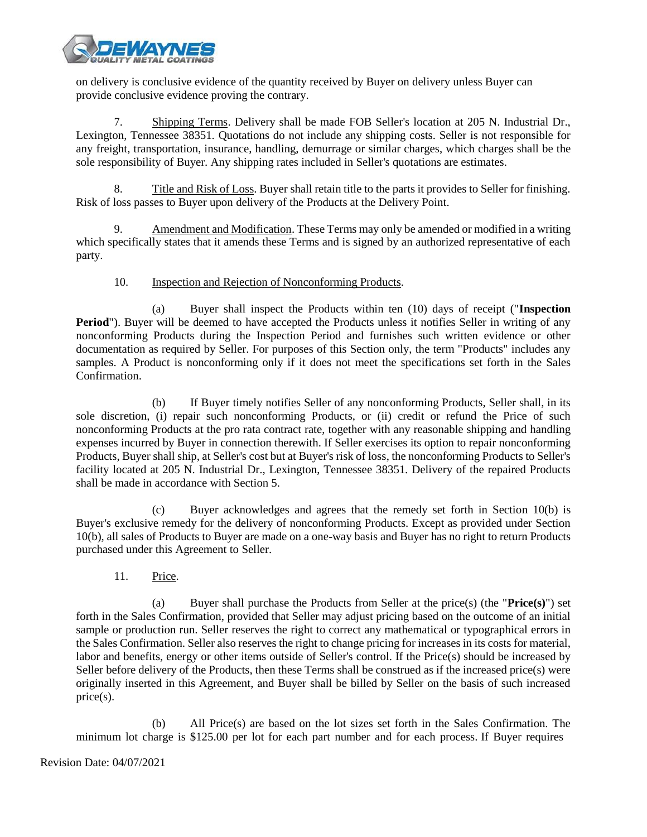

on delivery is conclusive evidence of the quantity received by Buyer on delivery unless Buyer can provide conclusive evidence proving the contrary.

7. Shipping Terms. Delivery shall be made FOB Seller's location at 205 N. Industrial Dr., Lexington, Tennessee 38351. Quotations do not include any shipping costs. Seller is not responsible for any freight, transportation, insurance, handling, demurrage or similar charges, which charges shall be the sole responsibility of Buyer. Any shipping rates included in Seller's quotations are estimates.

8. Title and Risk of Loss. Buyer shall retain title to the parts it provides to Seller for finishing. Risk of loss passes to Buyer upon delivery of the Products at the Delivery Point.

9. Amendment and Modification. These Terms may only be amended or modified in a writing which specifically states that it amends these Terms and is signed by an authorized representative of each party.

# 10. Inspection and Rejection of Nonconforming Products.

(a) Buyer shall inspect the Products within ten (10) days of receipt ("**Inspection Period**"). Buyer will be deemed to have accepted the Products unless it notifies Seller in writing of any nonconforming Products during the Inspection Period and furnishes such written evidence or other documentation as required by Seller. For purposes of this Section only, the term "Products" includes any samples. A Product is nonconforming only if it does not meet the specifications set forth in the Sales Confirmation.

(b) If Buyer timely notifies Seller of any nonconforming Products, Seller shall, in its sole discretion, (i) repair such nonconforming Products, or (ii) credit or refund the Price of such nonconforming Products at the pro rata contract rate, together with any reasonable shipping and handling expenses incurred by Buyer in connection therewith. If Seller exercises its option to repair nonconforming Products, Buyer shall ship, at Seller's cost but at Buyer's risk of loss, the nonconforming Products to Seller's facility located at 205 N. Industrial Dr., Lexington, Tennessee 38351. Delivery of the repaired Products shall be made in accordance with Section 5.

Buyer acknowledges and agrees that the remedy set forth in Section  $10(b)$  is Buyer's exclusive remedy for the delivery of nonconforming Products. Except as provided under Section 10(b), all sales of Products to Buyer are made on a one-way basis and Buyer has no right to return Products purchased under this Agreement to Seller.

11. Price.

(a) Buyer shall purchase the Products from Seller at the price(s) (the "**Price(s)**") set forth in the Sales Confirmation, provided that Seller may adjust pricing based on the outcome of an initial sample or production run. Seller reserves the right to correct any mathematical or typographical errors in the Sales Confirmation. Seller also reserves the right to change pricing for increases in its costs for material, labor and benefits, energy or other items outside of Seller's control. If the Price(s) should be increased by Seller before delivery of the Products, then these Terms shall be construed as if the increased price(s) were originally inserted in this Agreement, and Buyer shall be billed by Seller on the basis of such increased price(s).

(b) All Price(s) are based on the lot sizes set forth in the Sales Confirmation. The minimum lot charge is \$125.00 per lot for each part number and for each process. If Buyer requires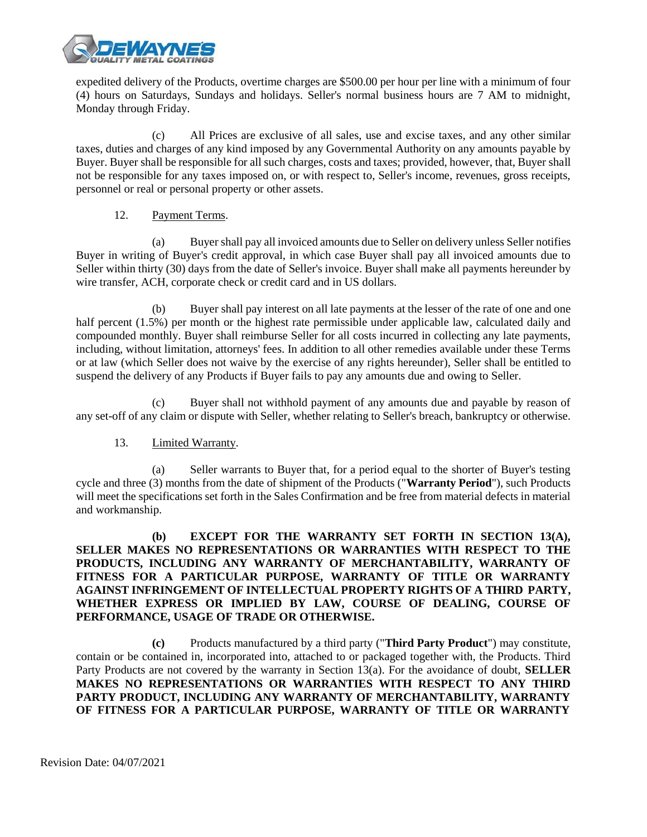

expedited delivery of the Products, overtime charges are \$500.00 per hour per line with a minimum of four (4) hours on Saturdays, Sundays and holidays. Seller's normal business hours are 7 AM to midnight, Monday through Friday.

(c) All Prices are exclusive of all sales, use and excise taxes, and any other similar taxes, duties and charges of any kind imposed by any Governmental Authority on any amounts payable by Buyer. Buyer shall be responsible for all such charges, costs and taxes; provided, however, that, Buyer shall not be responsible for any taxes imposed on, or with respect to, Seller's income, revenues, gross receipts, personnel or real or personal property or other assets.

### 12. Payment Terms.

(a) Buyer shall pay all invoiced amounts due to Seller on delivery unless Seller notifies Buyer in writing of Buyer's credit approval, in which case Buyer shall pay all invoiced amounts due to Seller within thirty (30) days from the date of Seller's invoice. Buyer shall make all payments hereunder by wire transfer, ACH, corporate check or credit card and in US dollars.

(b) Buyer shall pay interest on all late payments at the lesser of the rate of one and one half percent (1.5%) per month or the highest rate permissible under applicable law, calculated daily and compounded monthly. Buyer shall reimburse Seller for all costs incurred in collecting any late payments, including, without limitation, attorneys' fees. In addition to all other remedies available under these Terms or at law (which Seller does not waive by the exercise of any rights hereunder), Seller shall be entitled to suspend the delivery of any Products if Buyer fails to pay any amounts due and owing to Seller.

(c) Buyer shall not withhold payment of any amounts due and payable by reason of any set-off of any claim or dispute with Seller, whether relating to Seller's breach, bankruptcy or otherwise.

# 13. Limited Warranty.

(a) Seller warrants to Buyer that, for a period equal to the shorter of Buyer's testing cycle and three (3) months from the date of shipment of the Products ("**Warranty Period**"), such Products will meet the specifications set forth in the Sales Confirmation and be free from material defects in material and workmanship.

# **(b) EXCEPT FOR THE WARRANTY SET FORTH IN SECTION 13(A), SELLER MAKES NO REPRESENTATIONS OR WARRANTIES WITH RESPECT TO THE PRODUCTS, INCLUDING ANY WARRANTY OF MERCHANTABILITY, WARRANTY OF FITNESS FOR A PARTICULAR PURPOSE, WARRANTY OF TITLE OR WARRANTY AGAINST INFRINGEMENT OF INTELLECTUAL PROPERTY RIGHTS OF A THIRD PARTY, WHETHER EXPRESS OR IMPLIED BY LAW, COURSE OF DEALING, COURSE OF PERFORMANCE, USAGE OF TRADE OR OTHERWISE.**

**(c)** Products manufactured by a third party ("**Third Party Product**") may constitute, contain or be contained in, incorporated into, attached to or packaged together with, the Products. Third Party Products are not covered by the warranty in Section 13(a). For the avoidance of doubt, **SELLER MAKES NO REPRESENTATIONS OR WARRANTIES WITH RESPECT TO ANY THIRD PARTY PRODUCT, INCLUDING ANY WARRANTY OF MERCHANTABILITY, WARRANTY OF FITNESS FOR A PARTICULAR PURPOSE, WARRANTY OF TITLE OR WARRANTY**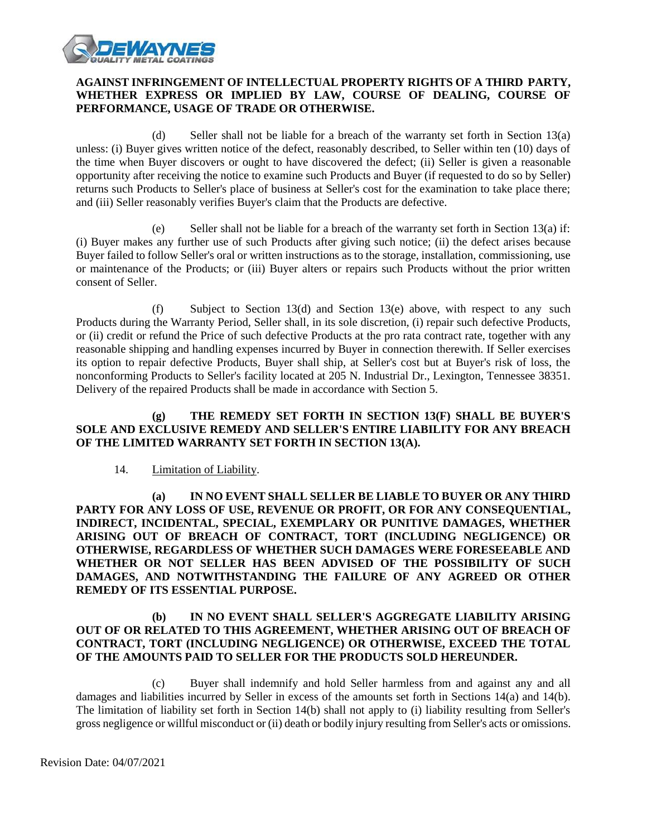

# **AGAINST INFRINGEMENT OF INTELLECTUAL PROPERTY RIGHTS OF A THIRD PARTY, WHETHER EXPRESS OR IMPLIED BY LAW, COURSE OF DEALING, COURSE OF PERFORMANCE, USAGE OF TRADE OR OTHERWISE.**

(d) Seller shall not be liable for a breach of the warranty set forth in Section 13(a) unless: (i) Buyer gives written notice of the defect, reasonably described, to Seller within ten (10) days of the time when Buyer discovers or ought to have discovered the defect; (ii) Seller is given a reasonable opportunity after receiving the notice to examine such Products and Buyer (if requested to do so by Seller) returns such Products to Seller's place of business at Seller's cost for the examination to take place there; and (iii) Seller reasonably verifies Buyer's claim that the Products are defective.

(e) Seller shall not be liable for a breach of the warranty set forth in Section 13(a) if: (i) Buyer makes any further use of such Products after giving such notice; (ii) the defect arises because Buyer failed to follow Seller's oral or written instructions as to the storage, installation, commissioning, use or maintenance of the Products; or (iii) Buyer alters or repairs such Products without the prior written consent of Seller.

(f) Subject to Section 13(d) and Section 13(e) above, with respect to any such Products during the Warranty Period, Seller shall, in its sole discretion, (i) repair such defective Products, or (ii) credit or refund the Price of such defective Products at the pro rata contract rate, together with any reasonable shipping and handling expenses incurred by Buyer in connection therewith. If Seller exercises its option to repair defective Products, Buyer shall ship, at Seller's cost but at Buyer's risk of loss, the nonconforming Products to Seller's facility located at 205 N. Industrial Dr., Lexington, Tennessee 38351. Delivery of the repaired Products shall be made in accordance with Section 5.

# **(g) THE REMEDY SET FORTH IN SECTION 13(F) SHALL BE BUYER'S SOLE AND EXCLUSIVE REMEDY AND SELLER'S ENTIRE LIABILITY FOR ANY BREACH OF THE LIMITED WARRANTY SET FORTH IN SECTION 13(A).**

### 14. Limitation of Liability.

**(a) IN NO EVENT SHALL SELLER BE LIABLE TO BUYER OR ANY THIRD PARTY FOR ANY LOSS OF USE, REVENUE OR PROFIT, OR FOR ANY CONSEQUENTIAL, INDIRECT, INCIDENTAL, SPECIAL, EXEMPLARY OR PUNITIVE DAMAGES, WHETHER ARISING OUT OF BREACH OF CONTRACT, TORT (INCLUDING NEGLIGENCE) OR OTHERWISE, REGARDLESS OF WHETHER SUCH DAMAGES WERE FORESEEABLE AND WHETHER OR NOT SELLER HAS BEEN ADVISED OF THE POSSIBILITY OF SUCH DAMAGES, AND NOTWITHSTANDING THE FAILURE OF ANY AGREED OR OTHER REMEDY OF ITS ESSENTIAL PURPOSE.**

# **(b) IN NO EVENT SHALL SELLER'S AGGREGATE LIABILITY ARISING OUT OF OR RELATED TO THIS AGREEMENT, WHETHER ARISING OUT OF BREACH OF CONTRACT, TORT (INCLUDING NEGLIGENCE) OR OTHERWISE, EXCEED THE TOTAL OF THE AMOUNTS PAID TO SELLER FOR THE PRODUCTS SOLD HEREUNDER.**

(c) Buyer shall indemnify and hold Seller harmless from and against any and all damages and liabilities incurred by Seller in excess of the amounts set forth in Sections 14(a) and 14(b). The limitation of liability set forth in Section 14(b) shall not apply to (i) liability resulting from Seller's gross negligence or willful misconduct or (ii) death or bodily injury resulting from Seller's acts or omissions.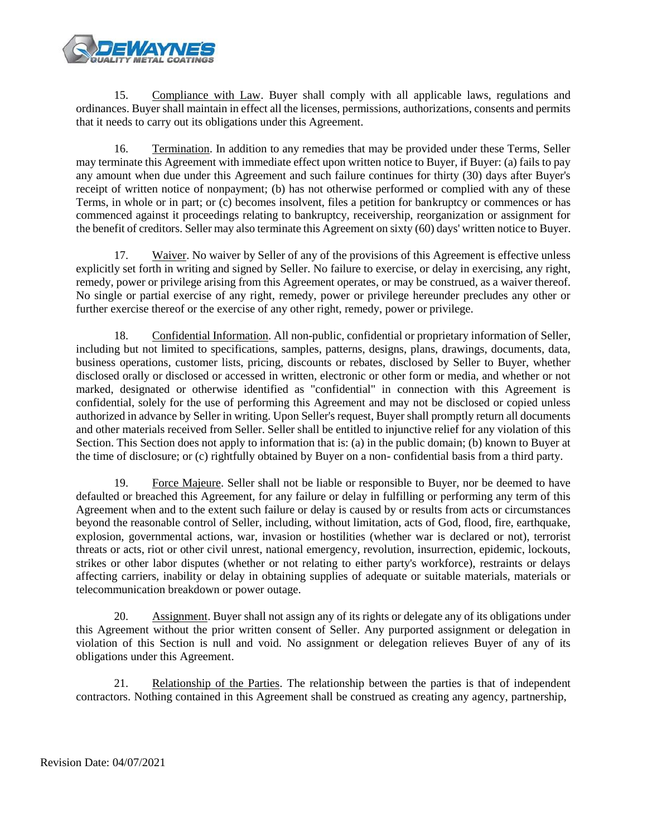

15. Compliance with Law. Buyer shall comply with all applicable laws, regulations and ordinances. Buyer shall maintain in effect all the licenses, permissions, authorizations, consents and permits that it needs to carry out its obligations under this Agreement.

16. Termination. In addition to any remedies that may be provided under these Terms, Seller may terminate this Agreement with immediate effect upon written notice to Buyer, if Buyer: (a) fails to pay any amount when due under this Agreement and such failure continues for thirty (30) days after Buyer's receipt of written notice of nonpayment; (b) has not otherwise performed or complied with any of these Terms, in whole or in part; or (c) becomes insolvent, files a petition for bankruptcy or commences or has commenced against it proceedings relating to bankruptcy, receivership, reorganization or assignment for the benefit of creditors. Seller may also terminate this Agreement on sixty (60) days' written notice to Buyer.

17. Waiver. No waiver by Seller of any of the provisions of this Agreement is effective unless explicitly set forth in writing and signed by Seller. No failure to exercise, or delay in exercising, any right, remedy, power or privilege arising from this Agreement operates, or may be construed, as a waiver thereof. No single or partial exercise of any right, remedy, power or privilege hereunder precludes any other or further exercise thereof or the exercise of any other right, remedy, power or privilege.

18. Confidential Information. All non-public, confidential or proprietary information of Seller, including but not limited to specifications, samples, patterns, designs, plans, drawings, documents, data, business operations, customer lists, pricing, discounts or rebates, disclosed by Seller to Buyer, whether disclosed orally or disclosed or accessed in written, electronic or other form or media, and whether or not marked, designated or otherwise identified as "confidential" in connection with this Agreement is confidential, solely for the use of performing this Agreement and may not be disclosed or copied unless authorized in advance by Seller in writing. Upon Seller's request, Buyer shall promptly return all documents and other materials received from Seller. Seller shall be entitled to injunctive relief for any violation of this Section. This Section does not apply to information that is: (a) in the public domain; (b) known to Buyer at the time of disclosure; or (c) rightfully obtained by Buyer on a non- confidential basis from a third party.

19. Force Majeure. Seller shall not be liable or responsible to Buyer, nor be deemed to have defaulted or breached this Agreement, for any failure or delay in fulfilling or performing any term of this Agreement when and to the extent such failure or delay is caused by or results from acts or circumstances beyond the reasonable control of Seller, including, without limitation, acts of God, flood, fire, earthquake, explosion, governmental actions, war, invasion or hostilities (whether war is declared or not), terrorist threats or acts, riot or other civil unrest, national emergency, revolution, insurrection, epidemic, lockouts, strikes or other labor disputes (whether or not relating to either party's workforce), restraints or delays affecting carriers, inability or delay in obtaining supplies of adequate or suitable materials, materials or telecommunication breakdown or power outage.

20. Assignment. Buyer shall not assign any of its rights or delegate any of its obligations under this Agreement without the prior written consent of Seller. Any purported assignment or delegation in violation of this Section is null and void. No assignment or delegation relieves Buyer of any of its obligations under this Agreement.

21. Relationship of the Parties. The relationship between the parties is that of independent contractors. Nothing contained in this Agreement shall be construed as creating any agency, partnership,